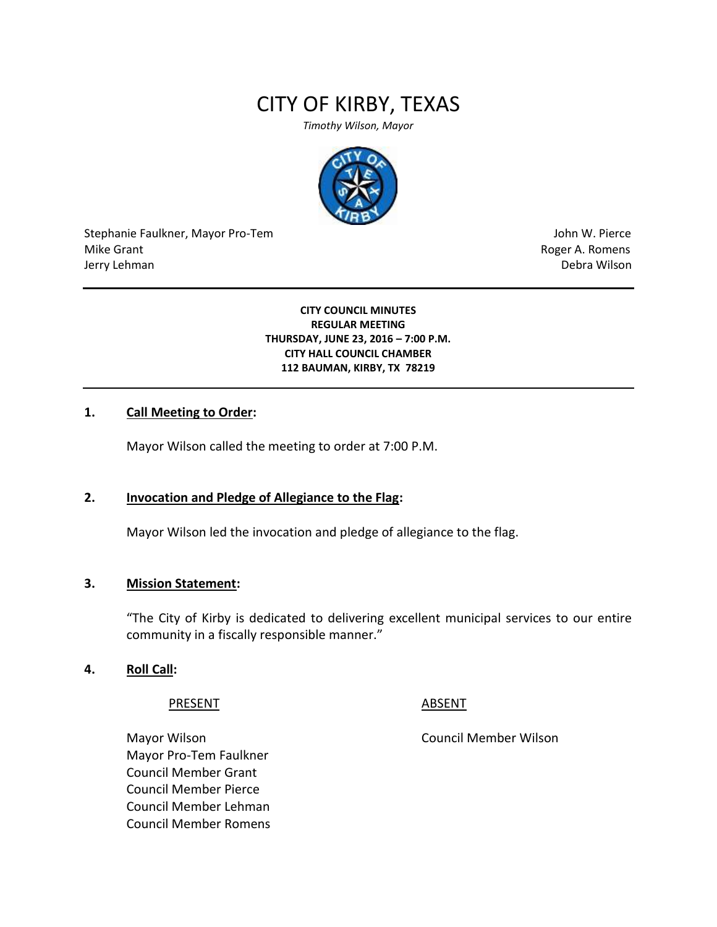# CITY OF KIRBY, TEXAS

*Timothy Wilson, Mayor*



Stephanie Faulkner, Mayor Pro-Tem John W. Pierce Mike Grant **Mike Grant** Roger A. Romens **Contract A. Romens Roger A. Romens** Jerry Lehman Debra Wilson

**CITY COUNCIL MINUTES REGULAR MEETING THURSDAY, JUNE 23, 2016 – 7:00 P.M. CITY HALL COUNCIL CHAMBER 112 BAUMAN, KIRBY, TX 78219**

# **1. Call Meeting to Order:**

Mayor Wilson called the meeting to order at 7:00 P.M.

#### **2. Invocation and Pledge of Allegiance to the Flag:**

Mayor Wilson led the invocation and pledge of allegiance to the flag.

#### **3. Mission Statement:**

"The City of Kirby is dedicated to delivering excellent municipal services to our entire community in a fiscally responsible manner."

#### **4. Roll Call:**

PRESENT ABSENT

Mayor Wilson Council Member Wilson Mayor Pro-Tem Faulkner Council Member Grant Council Member Pierce Council Member Lehman Council Member Romens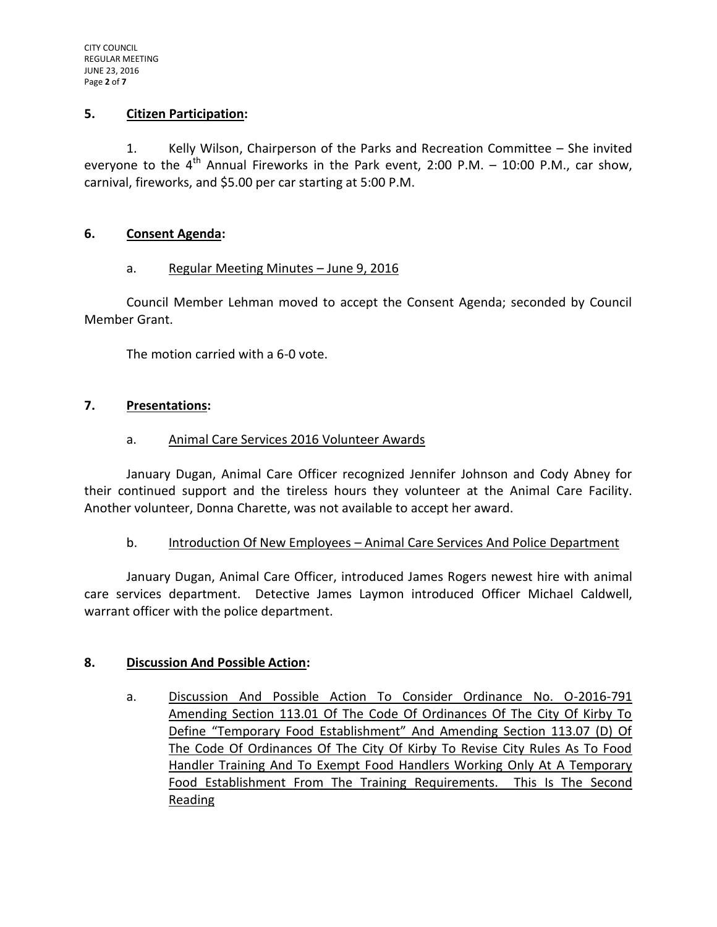#### **5. Citizen Participation:**

1. Kelly Wilson, Chairperson of the Parks and Recreation Committee – She invited evervone to the  $4^{\text{th}}$  Annual Fireworks in the Park event, 2:00 P.M. – 10:00 P.M., car show, carnival, fireworks, and \$5.00 per car starting at 5:00 P.M.

#### **6. Consent Agenda:**

#### a. Regular Meeting Minutes – June 9, 2016

Council Member Lehman moved to accept the Consent Agenda; seconded by Council Member Grant.

The motion carried with a 6-0 vote.

#### **7. Presentations:**

#### a. Animal Care Services 2016 Volunteer Awards

January Dugan, Animal Care Officer recognized Jennifer Johnson and Cody Abney for their continued support and the tireless hours they volunteer at the Animal Care Facility. Another volunteer, Donna Charette, was not available to accept her award.

#### b. Introduction Of New Employees – Animal Care Services And Police Department

January Dugan, Animal Care Officer, introduced James Rogers newest hire with animal care services department. Detective James Laymon introduced Officer Michael Caldwell, warrant officer with the police department.

#### **8. Discussion And Possible Action:**

a. Discussion And Possible Action To Consider Ordinance No. O-2016-791 Amending Section 113.01 Of The Code Of Ordinances Of The City Of Kirby To Define "Temporary Food Establishment" And Amending Section 113.07 (D) Of The Code Of Ordinances Of The City Of Kirby To Revise City Rules As To Food Handler Training And To Exempt Food Handlers Working Only At A Temporary Food Establishment From The Training Requirements. This Is The Second Reading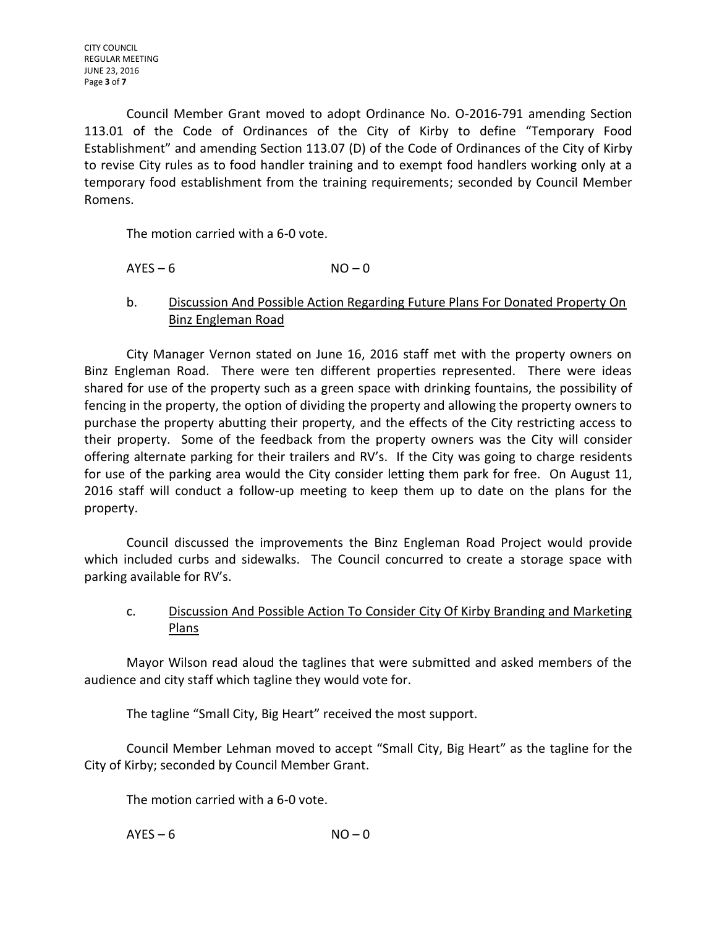Council Member Grant moved to adopt Ordinance No. O-2016-791 amending Section 113.01 of the Code of Ordinances of the City of Kirby to define "Temporary Food Establishment" and amending Section 113.07 (D) of the Code of Ordinances of the City of Kirby to revise City rules as to food handler training and to exempt food handlers working only at a temporary food establishment from the training requirements; seconded by Council Member Romens.

The motion carried with a 6-0 vote.

 $AYES - 6$   $NO - 0$ 

b. Discussion And Possible Action Regarding Future Plans For Donated Property On Binz Engleman Road

City Manager Vernon stated on June 16, 2016 staff met with the property owners on Binz Engleman Road. There were ten different properties represented. There were ideas shared for use of the property such as a green space with drinking fountains, the possibility of fencing in the property, the option of dividing the property and allowing the property owners to purchase the property abutting their property, and the effects of the City restricting access to their property. Some of the feedback from the property owners was the City will consider offering alternate parking for their trailers and RV's. If the City was going to charge residents for use of the parking area would the City consider letting them park for free. On August 11, 2016 staff will conduct a follow-up meeting to keep them up to date on the plans for the property.

Council discussed the improvements the Binz Engleman Road Project would provide which included curbs and sidewalks. The Council concurred to create a storage space with parking available for RV's.

# c. Discussion And Possible Action To Consider City Of Kirby Branding and Marketing Plans

Mayor Wilson read aloud the taglines that were submitted and asked members of the audience and city staff which tagline they would vote for.

The tagline "Small City, Big Heart" received the most support.

Council Member Lehman moved to accept "Small City, Big Heart" as the tagline for the City of Kirby; seconded by Council Member Grant.

The motion carried with a 6-0 vote.

 $AYES - 6$   $NO - 0$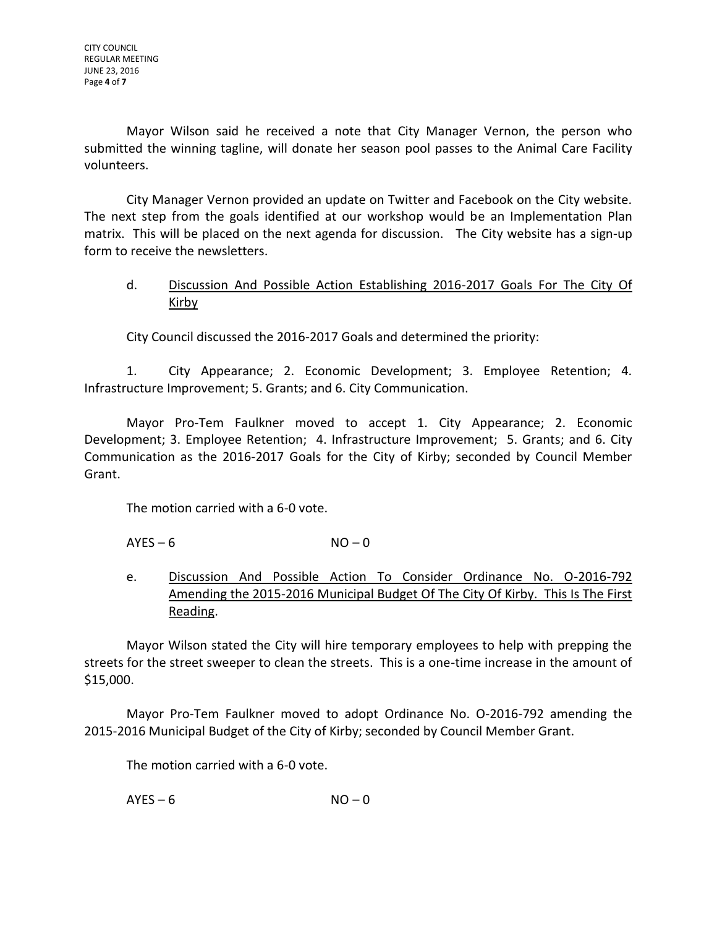Mayor Wilson said he received a note that City Manager Vernon, the person who submitted the winning tagline, will donate her season pool passes to the Animal Care Facility volunteers.

City Manager Vernon provided an update on Twitter and Facebook on the City website. The next step from the goals identified at our workshop would be an Implementation Plan matrix. This will be placed on the next agenda for discussion. The City website has a sign-up form to receive the newsletters.

# d. Discussion And Possible Action Establishing 2016-2017 Goals For The City Of Kirby

City Council discussed the 2016-2017 Goals and determined the priority:

1. City Appearance; 2. Economic Development; 3. Employee Retention; 4. Infrastructure Improvement; 5. Grants; and 6. City Communication.

Mayor Pro-Tem Faulkner moved to accept 1. City Appearance; 2. Economic Development; 3. Employee Retention; 4. Infrastructure Improvement; 5. Grants; and 6. City Communication as the 2016-2017 Goals for the City of Kirby; seconded by Council Member Grant.

The motion carried with a 6-0 vote.

 $AYES - 6$  NO – 0

e. Discussion And Possible Action To Consider Ordinance No. O-2016-792 Amending the 2015-2016 Municipal Budget Of The City Of Kirby. This Is The First Reading.

Mayor Wilson stated the City will hire temporary employees to help with prepping the streets for the street sweeper to clean the streets. This is a one-time increase in the amount of \$15,000.

Mayor Pro-Tem Faulkner moved to adopt Ordinance No. O-2016-792 amending the 2015-2016 Municipal Budget of the City of Kirby; seconded by Council Member Grant.

The motion carried with a 6-0 vote.

 $AYES - 6$   $NO - 0$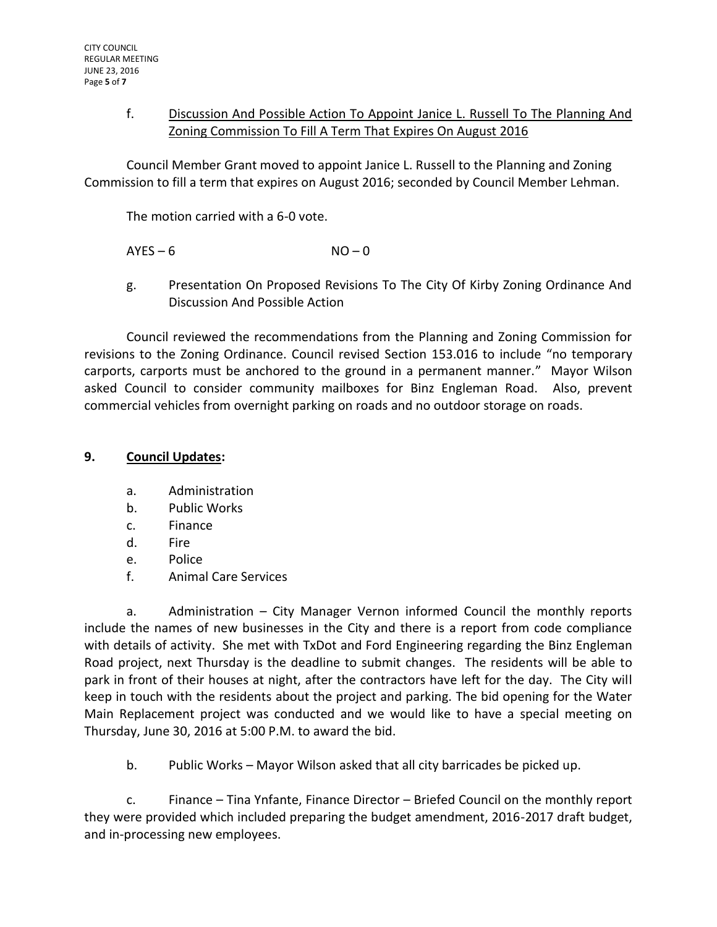# f. Discussion And Possible Action To Appoint Janice L. Russell To The Planning And Zoning Commission To Fill A Term That Expires On August 2016

Council Member Grant moved to appoint Janice L. Russell to the Planning and Zoning Commission to fill a term that expires on August 2016; seconded by Council Member Lehman.

The motion carried with a 6-0 vote.

 $AYES - 6$   $NO - 0$ 

g. Presentation On Proposed Revisions To The City Of Kirby Zoning Ordinance And Discussion And Possible Action

Council reviewed the recommendations from the Planning and Zoning Commission for revisions to the Zoning Ordinance. Council revised Section 153.016 to include "no temporary carports, carports must be anchored to the ground in a permanent manner." Mayor Wilson asked Council to consider community mailboxes for Binz Engleman Road. Also, prevent commercial vehicles from overnight parking on roads and no outdoor storage on roads.

### **9. Council Updates:**

- a. Administration
- b. Public Works
- c. Finance
- d. Fire
- e. Police
- f. Animal Care Services

a. Administration – City Manager Vernon informed Council the monthly reports include the names of new businesses in the City and there is a report from code compliance with details of activity. She met with TxDot and Ford Engineering regarding the Binz Engleman Road project, next Thursday is the deadline to submit changes. The residents will be able to park in front of their houses at night, after the contractors have left for the day. The City will keep in touch with the residents about the project and parking. The bid opening for the Water Main Replacement project was conducted and we would like to have a special meeting on Thursday, June 30, 2016 at 5:00 P.M. to award the bid.

b. Public Works – Mayor Wilson asked that all city barricades be picked up.

c. Finance – Tina Ynfante, Finance Director – Briefed Council on the monthly report they were provided which included preparing the budget amendment, 2016-2017 draft budget, and in-processing new employees.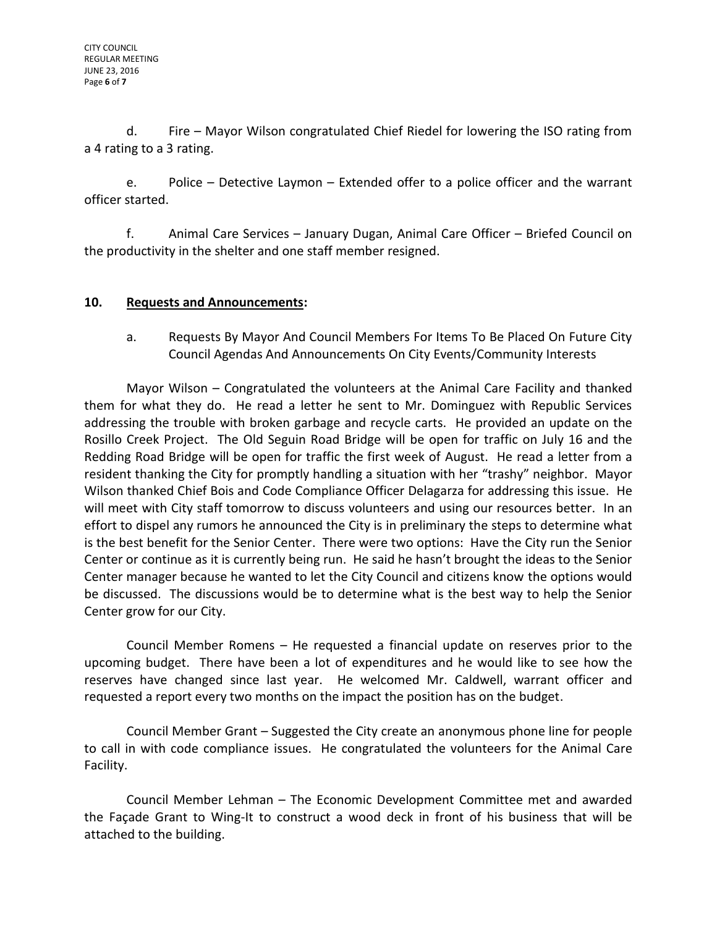d. Fire – Mayor Wilson congratulated Chief Riedel for lowering the ISO rating from a 4 rating to a 3 rating.

e. Police – Detective Laymon – Extended offer to a police officer and the warrant officer started.

f. Animal Care Services – January Dugan, Animal Care Officer – Briefed Council on the productivity in the shelter and one staff member resigned.

# **10. Requests and Announcements:**

a. Requests By Mayor And Council Members For Items To Be Placed On Future City Council Agendas And Announcements On City Events/Community Interests

Mayor Wilson – Congratulated the volunteers at the Animal Care Facility and thanked them for what they do. He read a letter he sent to Mr. Dominguez with Republic Services addressing the trouble with broken garbage and recycle carts. He provided an update on the Rosillo Creek Project. The Old Seguin Road Bridge will be open for traffic on July 16 and the Redding Road Bridge will be open for traffic the first week of August. He read a letter from a resident thanking the City for promptly handling a situation with her "trashy" neighbor. Mayor Wilson thanked Chief Bois and Code Compliance Officer Delagarza for addressing this issue. He will meet with City staff tomorrow to discuss volunteers and using our resources better. In an effort to dispel any rumors he announced the City is in preliminary the steps to determine what is the best benefit for the Senior Center. There were two options: Have the City run the Senior Center or continue as it is currently being run. He said he hasn't brought the ideas to the Senior Center manager because he wanted to let the City Council and citizens know the options would be discussed. The discussions would be to determine what is the best way to help the Senior Center grow for our City.

Council Member Romens – He requested a financial update on reserves prior to the upcoming budget. There have been a lot of expenditures and he would like to see how the reserves have changed since last year. He welcomed Mr. Caldwell, warrant officer and requested a report every two months on the impact the position has on the budget.

Council Member Grant – Suggested the City create an anonymous phone line for people to call in with code compliance issues. He congratulated the volunteers for the Animal Care Facility.

Council Member Lehman – The Economic Development Committee met and awarded the Façade Grant to Wing-It to construct a wood deck in front of his business that will be attached to the building.